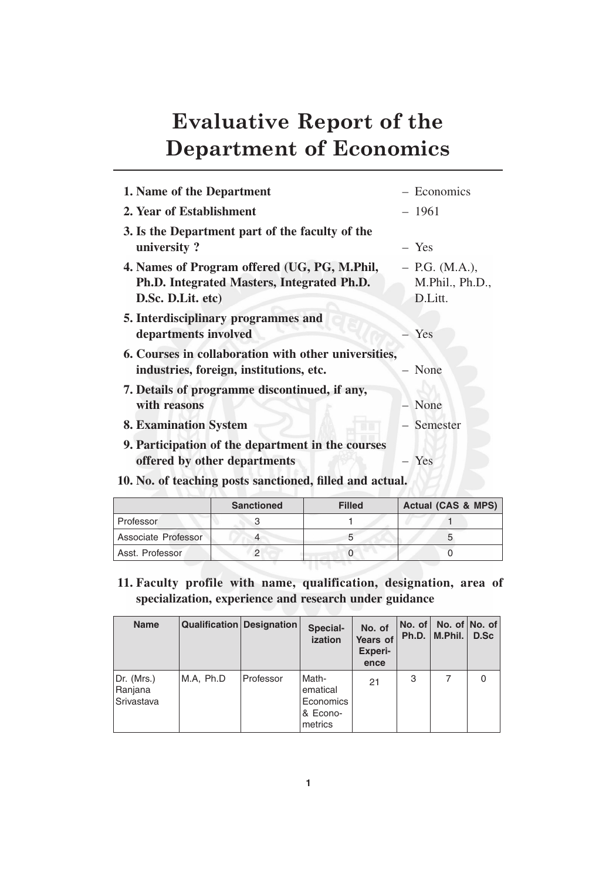# **Evaluative Report of the Department of Economics**

| 1. Name of the Department                                | - Economics      |
|----------------------------------------------------------|------------------|
| 2. Year of Establishment                                 | $-1961$          |
| 3. Is the Department part of the faculty of the          |                  |
| university?                                              | $-$ Yes          |
| 4. Names of Program offered (UG, PG, M.Phil,             | $-$ P.G. (M.A.), |
| Ph.D. Integrated Masters, Integrated Ph.D.               | M.Phil., Ph.D.,  |
| D.Sc. D.Lit. etc)                                        | D.Litt.          |
| 5. Interdisciplinary programmes and                      |                  |
| departments involved                                     | Yes              |
| 6. Courses in collaboration with other universities,     |                  |
| industries, foreign, institutions, etc.                  | - None           |
| 7. Details of programme discontinued, if any,            |                  |
| with reasons                                             | - None           |
| <b>8. Examination System</b>                             | - Semester       |
| 9. Participation of the department in the courses        |                  |
| offered by other departments                             | $-$ Yes          |
| 10. No. of teaching posts sanctioned, filled and actual. |                  |
|                                                          |                  |

|                     | <b>Sanctioned</b> | <b>Filled</b> | <b>Actual (CAS &amp; MPS)</b> |
|---------------------|-------------------|---------------|-------------------------------|
| Professor           |                   |               |                               |
| Associate Professor |                   |               |                               |
| Asst. Professor     |                   |               |                               |

**11. Faculty profile with name, qualification, designation, area of specialization, experience and research under guidance**

| <b>Name</b>                         | <b>Qualification Designation</b> |           | Special-<br>ization                                   | No. of<br>Years of<br><b>Experi-</b><br>ence | $\overline{\mathsf{No. of}}$<br>Ph.D. | M.Phil. | No. of $No.$ of<br>D.Sc |
|-------------------------------------|----------------------------------|-----------|-------------------------------------------------------|----------------------------------------------|---------------------------------------|---------|-------------------------|
| Dr. (Mrs.)<br>Ranjana<br>Srivastava | M.A. Ph.D                        | Professor | Math-<br>ematical<br>Economics<br>& Econo-<br>metrics | 21                                           | 3                                     |         |                         |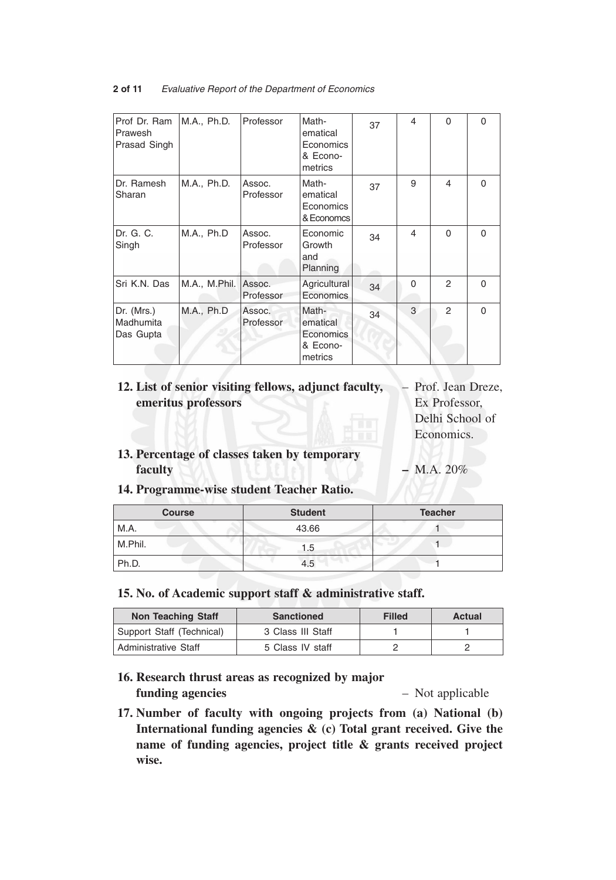| 2 of 11 | Evaluative Report of the Department of Economics |
|---------|--------------------------------------------------|
|---------|--------------------------------------------------|

| Prof Dr. Ram<br>Prawesh<br>Prasad Singh | M.A., Ph.D.   | Professor           | Math-<br>ematical<br>Economics<br>& Econo-<br>metrics        | 37 | 4        | $\Omega$      | $\Omega$ |
|-----------------------------------------|---------------|---------------------|--------------------------------------------------------------|----|----------|---------------|----------|
| Dr. Ramesh<br>Sharan                    | M.A., Ph.D.   | Assoc.<br>Professor | Math-<br>ematical<br>Economics<br>& Economcs                 | 37 | 9        | 4             | $\Omega$ |
| Dr. G. C.<br>Singh                      | M.A., Ph.D    | Assoc.<br>Professor | Economic<br>Growth<br>and<br>Planning                        | 34 | 4        | $\Omega$      | 0        |
| Sri K.N. Das                            | M.A., M.Phil. | Assoc.<br>Professor | Agricultural<br>Economics                                    | 34 | $\Omega$ | $\mathcal{P}$ | $\Omega$ |
| Dr. (Mrs.)<br>Madhumita<br>Das Gupta    | M.A., Ph.D    | Assoc.<br>Professor | Math-<br>ematical<br><b>Economics</b><br>& Econo-<br>metrics | 34 | 3        | $\mathcal{P}$ | $\Omega$ |

# **12. List of senior visiting fellows, adjunct faculty,** – Prof. Jean Dreze, **emeritus professors** Ex Professor,

Delhi School of Economics.

**13. Percentage of classes taken by temporary faculty –** M.A. 20%

**14. Programme-wise student Teacher Ratio.**

| <b>Course</b> | <b>Student</b> | <b>Teacher</b> |
|---------------|----------------|----------------|
| M.A.          | 43.66          |                |
| M.Phil.       | 1.5            |                |
| Ph.D.         | 4.5            |                |

**15. No. of Academic support staff & administrative staff.**

| <b>Non Teaching Staff</b> | <b>Sanctioned</b> | <b>Filled</b> | Actual |
|---------------------------|-------------------|---------------|--------|
| Support Staff (Technical) | 3 Class III Staff |               |        |
| Administrative Staff      | 5 Class IV staff  |               |        |

- **16. Research thrust areas as recognized by major funding agencies** – Not applicable
- **17. Number of faculty with ongoing projects from (a) National (b) International funding agencies & (c) Total grant received. Give the name of funding agencies, project title & grants received project wise.**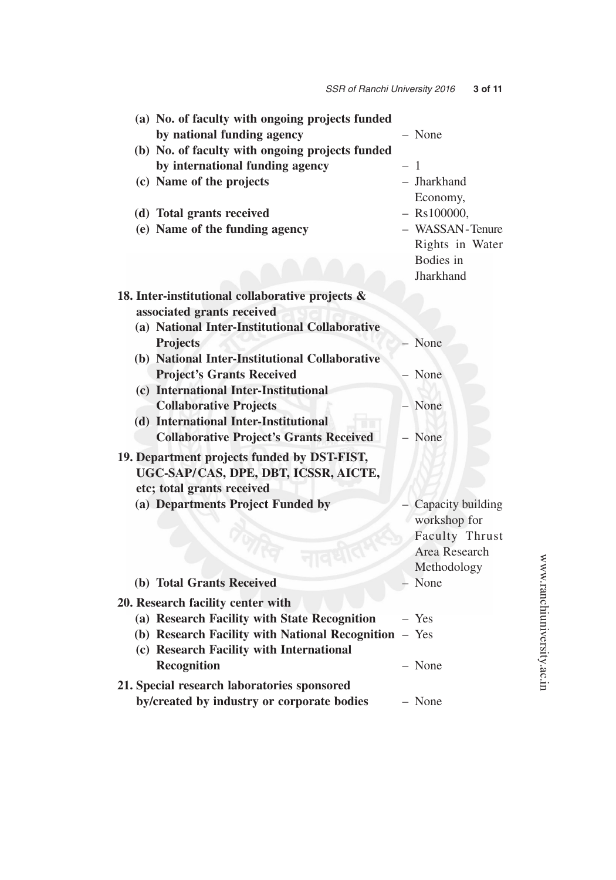| (a) No. of faculty with ongoing projects funded       |                   |
|-------------------------------------------------------|-------------------|
| by national funding agency                            | - None            |
| (b) No. of faculty with ongoing projects funded       |                   |
| by international funding agency                       | $-1$              |
| (c) Name of the projects                              | - Jharkhand       |
|                                                       | Economy,          |
| (d) Total grants received                             | $-$ Rs100000,     |
| (e) Name of the funding agency                        | - WASSAN-Tenure   |
|                                                       | Rights in Water   |
|                                                       | Bodies in         |
|                                                       | Jharkhand         |
| 18. Inter-institutional collaborative projects &      |                   |
| associated grants received                            |                   |
| (a) National Inter-Institutional Collaborative        |                   |
| <b>Projects</b>                                       | None              |
| (b) National Inter-Institutional Collaborative        |                   |
| <b>Project's Grants Received</b>                      | None              |
| (c) International Inter-Institutional                 |                   |
| <b>Collaborative Projects</b>                         | - None            |
| (d) International Inter-Institutional                 |                   |
| <b>Collaborative Project's Grants Received</b>        | - None            |
| 19. Department projects funded by DST-FIST,           |                   |
| UGC-SAP/CAS, DPE, DBT, ICSSR, AICTE,                  |                   |
| etc; total grants received                            |                   |
| (a) Departments Project Funded by                     | Capacity building |
|                                                       | workshop for      |
|                                                       | Faculty Thrust    |
| $\mathcal{U}$                                         | Area Research     |
|                                                       | Methodology       |
| (b) Total Grants Received                             | - None            |
| 20. Research facility center with                     |                   |
| (a) Research Facility with State Recognition          | $-$ Yes           |
| (b) Research Facility with National Recognition - Yes |                   |
| (c) Research Facility with International              |                   |
| <b>Recognition</b>                                    | - None            |
| 21. Special research laboratories sponsored           |                   |
| by/created by industry or corporate bodies            | - None            |

www.ranchiuniversity.ac.in www.ranchiuniversity.ac.in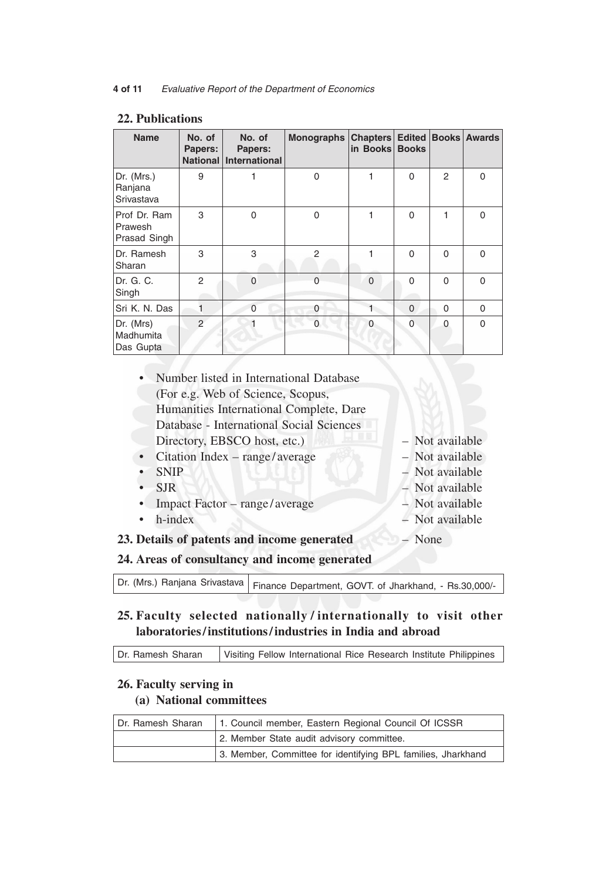| <b>Name</b>                             | No. of<br>Papers:<br><b>National</b> | No. of<br>Papers:<br><b>International</b> | Monographs    | Chapters<br>in Books | <b>Edited</b><br><b>Books</b> |                | <b>Books Awards</b> |
|-----------------------------------------|--------------------------------------|-------------------------------------------|---------------|----------------------|-------------------------------|----------------|---------------------|
| Dr. (Mrs.)<br>Ranjana<br>Srivastava     | 9                                    |                                           | 0             |                      | $\Omega$                      | $\overline{2}$ | $\Omega$            |
| Prof Dr. Ram<br>Prawesh<br>Prasad Singh | 3                                    | $\Omega$                                  | $\Omega$      |                      | $\Omega$                      | 1              | $\Omega$            |
| Dr. Ramesh<br>Sharan                    | 3                                    | 3                                         | $\mathcal{P}$ | 1                    | $\Omega$                      | $\Omega$       | $\Omega$            |
| Dr. G. C.<br>Singh                      | $\mathcal{P}$                        | $\Omega$                                  | $\Omega$      | $\Omega$             | $\Omega$                      | $\Omega$       | $\Omega$            |
| Sri K. N. Das                           | 1                                    | $\Omega$                                  | 0             |                      | $\mathbf{0}$                  | $\Omega$       | $\Omega$            |
| Dr. (Mrs)<br>Madhumita<br>Das Gupta     | $\mathfrak{D}$                       |                                           | $\Omega$      | $\Omega$             | $\Omega$                      | $\Omega$       | $\Omega$            |

### **22. Publications**

| • Number listed in International Database     |                 |
|-----------------------------------------------|-----------------|
| (For e.g. Web of Science, Scopus,             |                 |
| Humanities International Complete, Dare       |                 |
| Database - International Social Sciences      |                 |
| Directory, EBSCO host, etc.)                  | - Not available |
| Citation Index – range/average<br>$\bullet$   | - Not available |
| <b>SNIP</b>                                   | - Not available |
| <b>SJR</b>                                    | - Not available |
| Impact Factor – range/average                 | - Not available |
| h-index<br>$\bullet$                          | - Not available |
| 23. Details of patents and income generated   | - None          |
| 24. Areas of consultancy and income generated |                 |
|                                               |                 |

 $\overline{\text{Dr. (Mrs.)} }$  Ranjana Srivastava  $\vert$  Finance Department, GOVT. of Jharkhand, - Rs.30,000/-

## **25. Faculty selected nationally / internationally to visit other laboratories/institutions/industries in India and abroad**

Dr. Ramesh Sharan | Visiting Fellow International Rice Research Institute Philippines

## **26. Faculty serving in (a) National committees**

| Dr. Ramesh Sharan | 1. Council member, Eastern Regional Council Of ICSSR         |  |
|-------------------|--------------------------------------------------------------|--|
|                   | 2. Member State audit advisory committee.                    |  |
|                   | 3. Member, Committee for identifying BPL families, Jharkhand |  |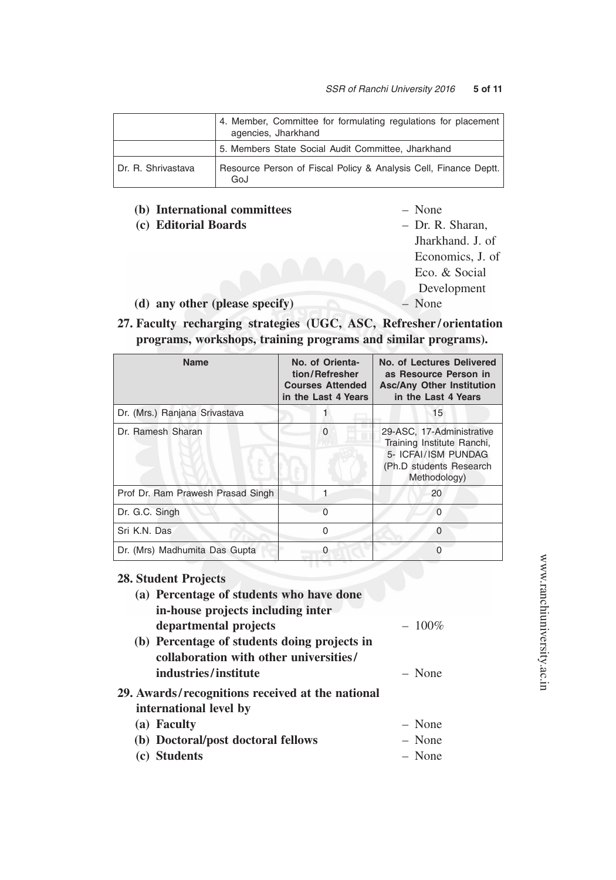|                    | 4. Member, Committee for formulating regulations for placement<br>agencies, Jharkhand |
|--------------------|---------------------------------------------------------------------------------------|
|                    | 5. Members State Social Audit Committee, Jharkhand                                    |
| Dr. R. Shrivastava | Resource Person of Fiscal Policy & Analysis Cell, Finance Deptt.  <br>GoJ             |

## **(b) International committees** – None

- **(c) Editorial Boards** Dr. R. Sharan,
- - Jharkhand. J. of Economics, J. of Eco. & Social Development
- **(d) any other (please specify)** None
- **27. Faculty recharging strategies (UGC, ASC, Refresher / orientation programs, workshops, training programs and similar programs).**

| <b>Name</b>                       | No. of Orienta-<br>tion/Refresher<br><b>Courses Attended</b><br>in the Last 4 Years | No. of Lectures Delivered<br>as Resource Person in<br><b>Asc/Any Other Institution</b><br>in the Last 4 Years             |
|-----------------------------------|-------------------------------------------------------------------------------------|---------------------------------------------------------------------------------------------------------------------------|
| Dr. (Mrs.) Ranjana Srivastava     |                                                                                     | 15                                                                                                                        |
| Dr. Ramesh Sharan                 | $\Omega$                                                                            | 29-ASC, 17-Administrative<br>Training Institute Ranchi,<br>5- ICFAI/ISM PUNDAG<br>(Ph.D students Research<br>Methodology) |
| Prof Dr. Ram Prawesh Prasad Singh |                                                                                     | 20                                                                                                                        |
| Dr. G.C. Singh                    | $\Omega$                                                                            | $\Omega$                                                                                                                  |
| Sri K.N. Das                      | 0                                                                                   | $\Omega$                                                                                                                  |
| Dr. (Mrs) Madhumita Das Gupta     |                                                                                     |                                                                                                                           |

## **28. Student Projects**

| (a) Percentage of students who have done<br>in-house projects including inter |          |
|-------------------------------------------------------------------------------|----------|
| departmental projects                                                         | $-100\%$ |
| (b) Percentage of students doing projects in                                  |          |
| collaboration with other universities/                                        |          |
| industries/institute                                                          | - None   |
| 29. Awards/recognitions received at the national                              |          |
| international level by                                                        |          |
| (a) Faculty                                                                   | $-$ None |
| (b) Doctoral/post doctoral fellows                                            | - None   |

**(c) Students** – None

www.ranchiuniversity.ac.in www.ranchiuniversity.ac.in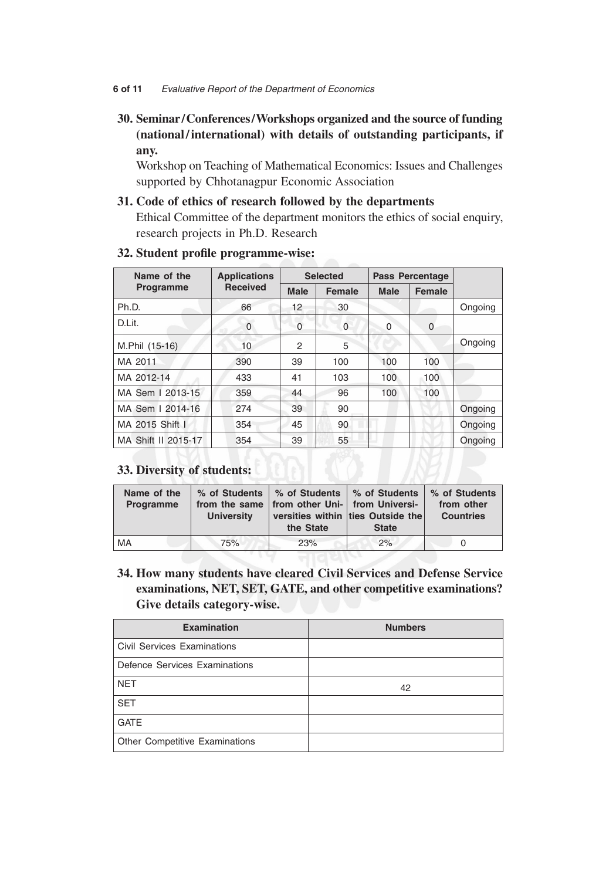#### **6 of 11** *Evaluative Report of the Department of Economics*

# **30. Seminar/Conferences/Workshops organized and the source of funding (national/international) with details of outstanding participants, if any.**

Workshop on Teaching of Mathematical Economics: Issues and Challenges supported by Chhotanagpur Economic Association

## **31. Code of ethics of research followed by the departments**

 Ethical Committee of the department monitors the ethics of social enquiry, research projects in Ph.D. Research

| Name of the         | <b>Applications</b> | <b>Selected</b> |               | <b>Pass Percentage</b> |               |         |  |
|---------------------|---------------------|-----------------|---------------|------------------------|---------------|---------|--|
| <b>Programme</b>    | <b>Received</b>     | <b>Male</b>     | <b>Female</b> | <b>Male</b>            | <b>Female</b> |         |  |
| Ph.D.               | 66                  | 12              | 30            |                        |               | Ongoing |  |
| D.Lit.              | $\mathbf 0$         | 0               | $\Omega$      | $\Omega$               | $\Omega$      |         |  |
| M.Phil (15-16)      | 10                  | 2               | 5             |                        |               | Ongoing |  |
| MA 2011             | 390                 | 39              | 100           | 100                    | 100           |         |  |
| MA 2012-14          | 433                 | 41              | 103           | 100                    | 100           |         |  |
| MA Sem   2013-15    | 359                 | 44              | 96            | 100                    | 100           |         |  |
| MA Sem   2014-16    | 274                 | 39              | 90            |                        |               | Ongoing |  |
| MA 2015 Shift I     | 354                 | 45              | 90            |                        |               | Ongoing |  |
| MA Shift II 2015-17 | 354                 | 39              | 55            |                        |               | Ongoing |  |

## **32. Student profile programme-wise:**

# **33. Diversity of students:**

| Name of the<br>Programme | % of Students<br>from the same<br><b>University</b> | <b>8% of Students ↓% of Students</b><br>from other Uni- from Universi-<br>the State | versities within ties Outside the<br><b>State</b> | % of Students<br>from other<br><b>Countries</b> |
|--------------------------|-----------------------------------------------------|-------------------------------------------------------------------------------------|---------------------------------------------------|-------------------------------------------------|
| MA                       | 75%                                                 | 23%                                                                                 | 2%                                                |                                                 |

**34. How many students have cleared Civil Services and Defense Service examinations, NET, SET, GATE, and other competitive examinations? Give details category-wise.**

| <b>Examination</b>                 | <b>Numbers</b> |
|------------------------------------|----------------|
| <b>Civil Services Examinations</b> |                |
| Defence Services Examinations      |                |
| <b>NET</b>                         | 42             |
| <b>SET</b>                         |                |
| <b>GATE</b>                        |                |
| Other Competitive Examinations     |                |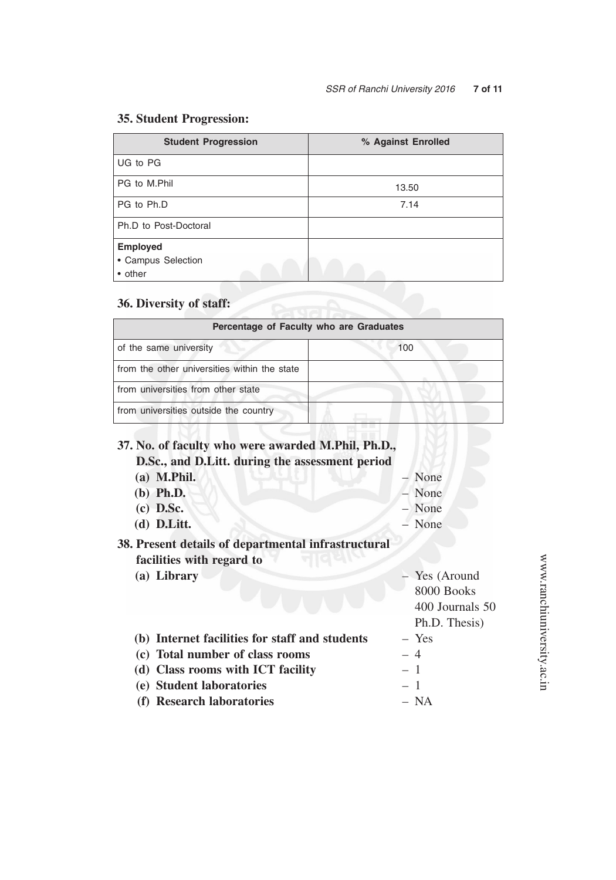# **35. Student Progression:**

| <b>Student Progression</b> | % Against Enrolled |
|----------------------------|--------------------|
| UG to PG                   |                    |
| PG to M.Phil               | 13.50              |
| PG to Ph.D                 | 7.14               |
| Ph.D to Post-Doctoral      |                    |
| <b>Employed</b>            |                    |
| • Campus Selection         |                    |
| • other                    |                    |

# **36. Diversity of staff:**

| Percentage of Faculty who are Graduates      |     |  |  |  |  |
|----------------------------------------------|-----|--|--|--|--|
| of the same university                       | 100 |  |  |  |  |
| from the other universities within the state |     |  |  |  |  |
| from universities from other state           |     |  |  |  |  |
| from universities outside the country        |     |  |  |  |  |
|                                              |     |  |  |  |  |

|      | - None                                                        |
|------|---------------------------------------------------------------|
|      | - None                                                        |
|      | - None                                                        |
|      | - None                                                        |
|      |                                                               |
|      | Yes (Around<br>8000 Books<br>400 Journals 50<br>Ph.D. Thesis) |
|      | $-$ Yes                                                       |
|      | $-4$                                                          |
|      | $-1$                                                          |
| $-1$ |                                                               |
|      | – NA                                                          |
|      |                                                               |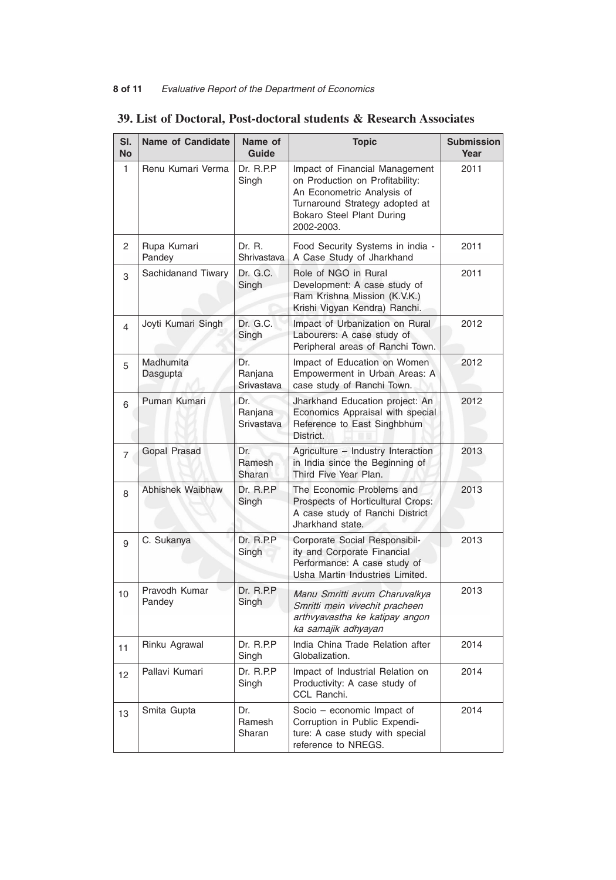## **8 of 11** *Evaluative Report of the Department of Economics*

| SI.<br>No      | <b>Name of Candidate</b> | Name of<br>Guide             | <b>Topic</b>                                                                                                                                                                 | <b>Submission</b><br>Year |
|----------------|--------------------------|------------------------------|------------------------------------------------------------------------------------------------------------------------------------------------------------------------------|---------------------------|
| 1              | Renu Kumari Verma        | Dr. R.P.P.<br>Singh          | Impact of Financial Management<br>on Production on Profitability:<br>An Econometric Analysis of<br>Turnaround Strategy adopted at<br>Bokaro Steel Plant During<br>2002-2003. | 2011                      |
| 2              | Rupa Kumari<br>Pandey    | Dr. R.<br>Shrivastava        | Food Security Systems in india -<br>A Case Study of Jharkhand                                                                                                                | 2011                      |
| 3              | Sachidanand Tiwary       | Dr. G.C.<br>Singh            | Role of NGO in Rural<br>Development: A case study of<br>Ram Krishna Mission (K.V.K.)<br>Krishi Vigyan Kendra) Ranchi.                                                        | 2011                      |
| 4              | Joyti Kumari Singh       | Dr. G.C.<br>Singh            | Impact of Urbanization on Rural<br>Labourers: A case study of<br>Peripheral areas of Ranchi Town.                                                                            | 2012                      |
| 5              | Madhumita<br>Dasgupta    | Dr.<br>Ranjana<br>Srivastava | Impact of Education on Women<br>Empowerment in Urban Areas: A<br>case study of Ranchi Town.                                                                                  | 2012                      |
| 6              | Puman Kumari             | Dr.<br>Ranjana<br>Srivastava | Jharkhand Education project: An<br>Economics Appraisal with special<br>Reference to East Singhbhum<br>District.                                                              | 2012                      |
| $\overline{7}$ | Gopal Prasad             | Dr.<br>Ramesh<br>Sharan      | Agriculture - Industry Interaction<br>in India since the Beginning of<br>Third Five Year Plan.                                                                               | 2013                      |
| 8              | Abhishek Waibhaw         | Dr. R.P.P<br>Singh           | The Economic Problems and<br>Prospects of Horticultural Crops:<br>A case study of Ranchi District<br>Jharkhand state.                                                        | 2013                      |
| 9              | C. Sukanya               | Dr. R.P.P<br>Singh           | Corporate Social Responsibil-<br>ity and Corporate Financial<br>Performance: A case study of<br>Usha Martin Industries Limited.                                              | 2013                      |
| 10             | Pravodh Kumar<br>Pandey  | Dr. R.P.P<br>Singh           | Manu Smritti avum Charuvalkya<br>Smritti mein vivechit pracheen<br>arthvyavastha ke katipay angon<br>ka samajik adhyayan                                                     | 2013                      |
| 11             | Rinku Agrawal            | Dr. R.P.P<br>Singh           | India China Trade Relation after<br>Globalization.                                                                                                                           | 2014                      |
| 12             | Pallavi Kumari           | Dr. R.P.P.<br>Singh          | Impact of Industrial Relation on<br>Productivity: A case study of<br>CCL Ranchi.                                                                                             | 2014                      |
| 13             | Smita Gupta              | Dr.<br>Ramesh<br>Sharan      | Socio - economic Impact of<br>Corruption in Public Expendi-<br>ture: A case study with special<br>reference to NREGS.                                                        | 2014                      |

# **39. List of Doctoral, Post-doctoral students & Research Associates**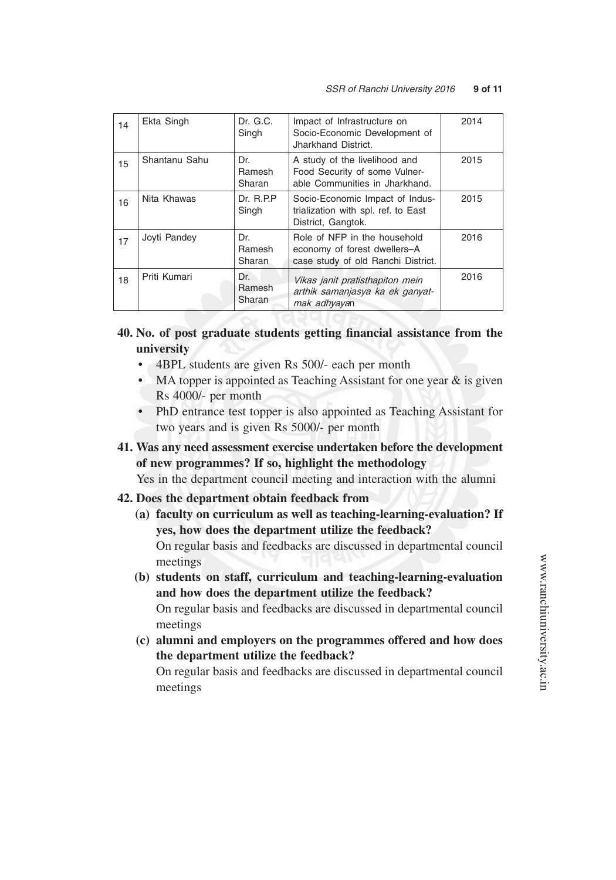| 14 | Ekta Singh    | Dr. G.C.<br>Singh       | Impact of Infrastructure on<br>Socio-Economic Development of<br>Jharkhand District.                | 2014 |
|----|---------------|-------------------------|----------------------------------------------------------------------------------------------------|------|
| 15 | Shantanu Sahu | Dr.<br>Ramesh<br>Sharan | A study of the livelihood and<br>Food Security of some Vulner-<br>able Communities in Jharkhand.   | 2015 |
| 16 | Nita Khawas   | Dr. R.P.P.<br>Singh     | Socio-Economic Impact of Indus-<br>trialization with spl. ref. to East<br>District, Gangtok.       | 2015 |
| 17 | Joyti Pandey  | Dr.<br>Ramesh<br>Sharan | Role of NFP in the household<br>economy of forest dwellers-A<br>case study of old Ranchi District. | 2016 |
| 18 | Priti Kumari  | Dr.<br>Ramesh<br>Sharan | Vikas janit pratisthapiton mein<br>arthik samanjasya ka ek ganyat-<br>mak adhyayan                 | 2016 |

- **40. No. of post graduate students getting financial assistance from the university**
	- 4BPL students are given Rs 500/- each per month
	- MA topper is appointed as Teaching Assistant for one year  $\&$  is given Rs 4000/- per month
	- PhD entrance test topper is also appointed as Teaching Assistant for two years and is given Rs 5000/- per month
- **41. Was any need assessment exercise undertaken before the development of new programmes? If so, highlight the methodology**

Yes in the department council meeting and interaction with the alumni

#### **42. Does the department obtain feedback from**

- **(a) faculty on curriculum as well as teaching-learning-evaluation? If yes, how does the department utilize the feedback?** On regular basis and feedbacks are discussed in departmental council meetings
- **(b) students on staff, curriculum and teaching-learning-evaluation and how does the department utilize the feedback?** On regular basis and feedbacks are discussed in departmental council meetings
- **(c) alumni and employers on the programmes offered and how does the department utilize the feedback?**

 On regular basis and feedbacks are discussed in departmental council meetings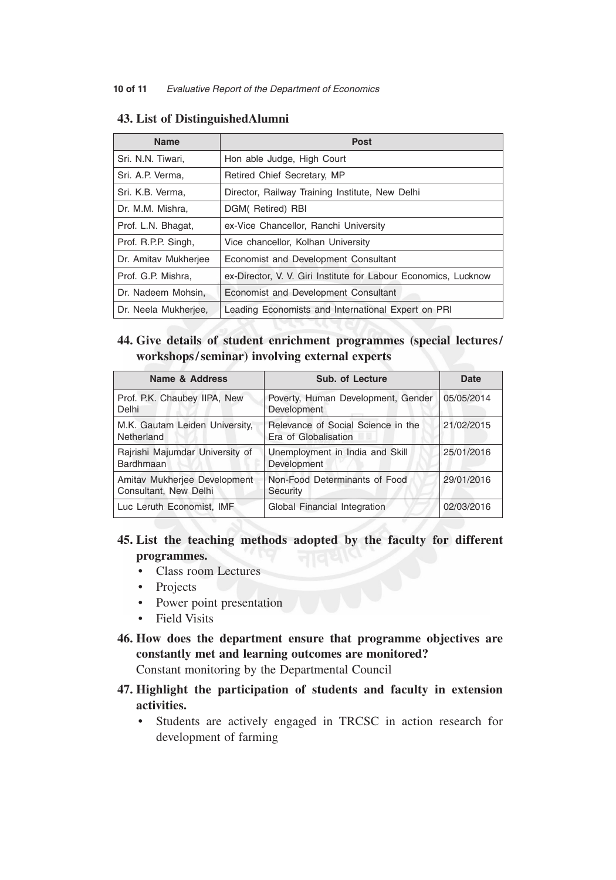| <b>Name</b>          | Post                                                            |
|----------------------|-----------------------------------------------------------------|
| Sri. N.N. Tiwari,    | Hon able Judge, High Court                                      |
| Sri. A.P. Verma,     | Retired Chief Secretary, MP                                     |
| Sri. K.B. Verma,     | Director, Railway Training Institute, New Delhi                 |
| Dr. M.M. Mishra,     | DGM(Retired) RBI                                                |
| Prof. L.N. Bhagat,   | ex-Vice Chancellor, Ranchi University                           |
| Prof. R.P.P. Singh,  | Vice chancellor, Kolhan University                              |
| Dr. Amitav Mukherjee | Economist and Development Consultant                            |
| Prof. G.P. Mishra,   | ex-Director, V. V. Giri Institute for Labour Economics, Lucknow |
| Dr. Nadeem Mohsin,   | Economist and Development Consultant                            |
| Dr. Neela Mukherjee, | Leading Economists and International Expert on PRI              |
|                      |                                                                 |

## **43. List of DistinguishedAlumni**

# **44. Give details of student enrichment programmes (special lectures/ workshops/seminar) involving external experts**

| Name & Address                                        | <b>Sub. of Lecture</b>                                     | Date       |
|-------------------------------------------------------|------------------------------------------------------------|------------|
| Prof. P.K. Chaubey IIPA, New<br>Delhi                 | Poverty, Human Development, Gender<br>Development          | 05/05/2014 |
| M.K. Gautam Leiden University,<br>Netherland          | Relevance of Social Science in the<br>Era of Globalisation | 21/02/2015 |
| Rajrishi Majumdar University of<br>Bardhmaan          | Unemployment in India and Skill<br>Development             | 25/01/2016 |
| Amitav Mukherjee Development<br>Consultant, New Delhi | Non-Food Determinants of Food<br>Security                  | 29/01/2016 |
| Luc Leruth Economist, IMF                             | Global Financial Integration                               | 02/03/2016 |

# **45. List the teaching methods adopted by the faculty for different programmes.**

- • Class room Lectures
- Projects
- Power point presentation
- Field Visits
- **46. How does the department ensure that programme objectives are constantly met and learning outcomes are monitored?**

Constant monitoring by the Departmental Council

- **47. Highlight the participation of students and faculty in extension activities.**
	- • Students are actively engaged in TRCSC in action research for development of farming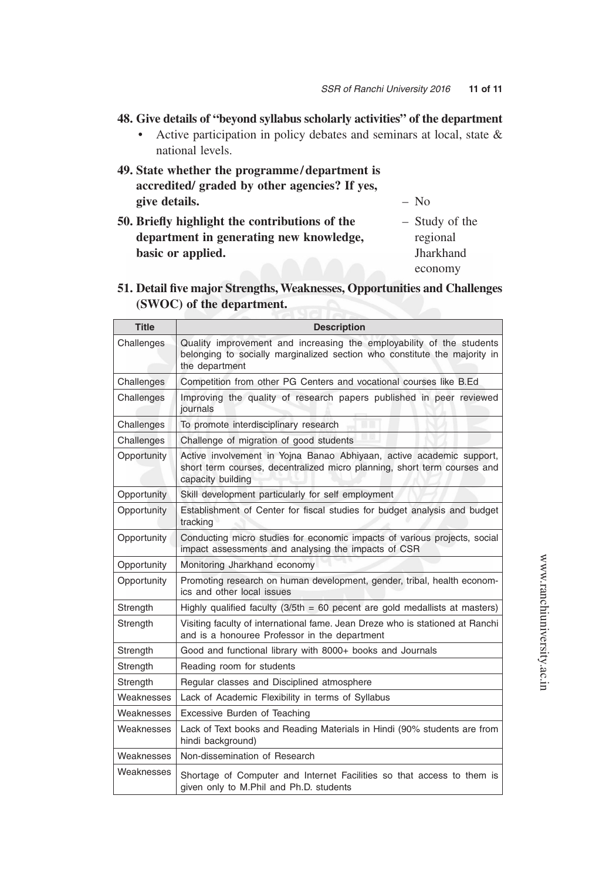- **48. Give details of "beyond syllabus scholarly activities" of the department**
	- Active participation in policy debates and seminars at local, state & national levels.
- **49. State whether the programme /department is accredited/ graded by other agencies? If yes, give details.** – No
	-
- **50. Briefly highlight the contributions of the** Study of the department in generating new knowledge, regional **basic or applied.** Jharkhand

economy

**51. Detail five major Strengths, Weaknesses, Opportunities and Challenges (SWOC) of the department.**

| <b>Title</b> | <b>Description</b>                                                                                                                                                    |
|--------------|-----------------------------------------------------------------------------------------------------------------------------------------------------------------------|
| Challenges   | Quality improvement and increasing the employability of the students<br>belonging to socially marginalized section who constitute the majority in<br>the department   |
| Challenges   | Competition from other PG Centers and vocational courses like B.Ed                                                                                                    |
| Challenges   | Improving the quality of research papers published in peer reviewed<br>journals                                                                                       |
| Challenges   | To promote interdisciplinary research                                                                                                                                 |
| Challenges   | Challenge of migration of good students                                                                                                                               |
| Opportunity  | Active involvement in Yojna Banao Abhiyaan, active academic support,<br>short term courses, decentralized micro planning, short term courses and<br>capacity building |
| Opportunity  | Skill development particularly for self employment                                                                                                                    |
| Opportunity  | Establishment of Center for fiscal studies for budget analysis and budget<br>tracking                                                                                 |
| Opportunity  | Conducting micro studies for economic impacts of various projects, social<br>impact assessments and analysing the impacts of CSR                                      |
| Opportunity  | Monitoring Jharkhand economy                                                                                                                                          |
| Opportunity  | Promoting research on human development, gender, tribal, health econom-<br>ics and other local issues                                                                 |
| Strength     | Highly qualified faculty $(3/5th = 60$ pecent are gold medallists at masters)                                                                                         |
| Strength     | Visiting faculty of international fame. Jean Dreze who is stationed at Ranchi<br>and is a honouree Professor in the department                                        |
| Strength     | Good and functional library with 8000+ books and Journals                                                                                                             |
| Strength     | Reading room for students                                                                                                                                             |
| Strength     | Regular classes and Disciplined atmosphere                                                                                                                            |
| Weaknesses   | Lack of Academic Flexibility in terms of Syllabus                                                                                                                     |
| Weaknesses   | Excessive Burden of Teaching                                                                                                                                          |
| Weaknesses   | Lack of Text books and Reading Materials in Hindi (90% students are from<br>hindi background)                                                                         |
| Weaknesses   | Non-dissemination of Research                                                                                                                                         |
| Weaknesses   | Shortage of Computer and Internet Facilities so that access to them is<br>given only to M.Phil and Ph.D. students                                                     |